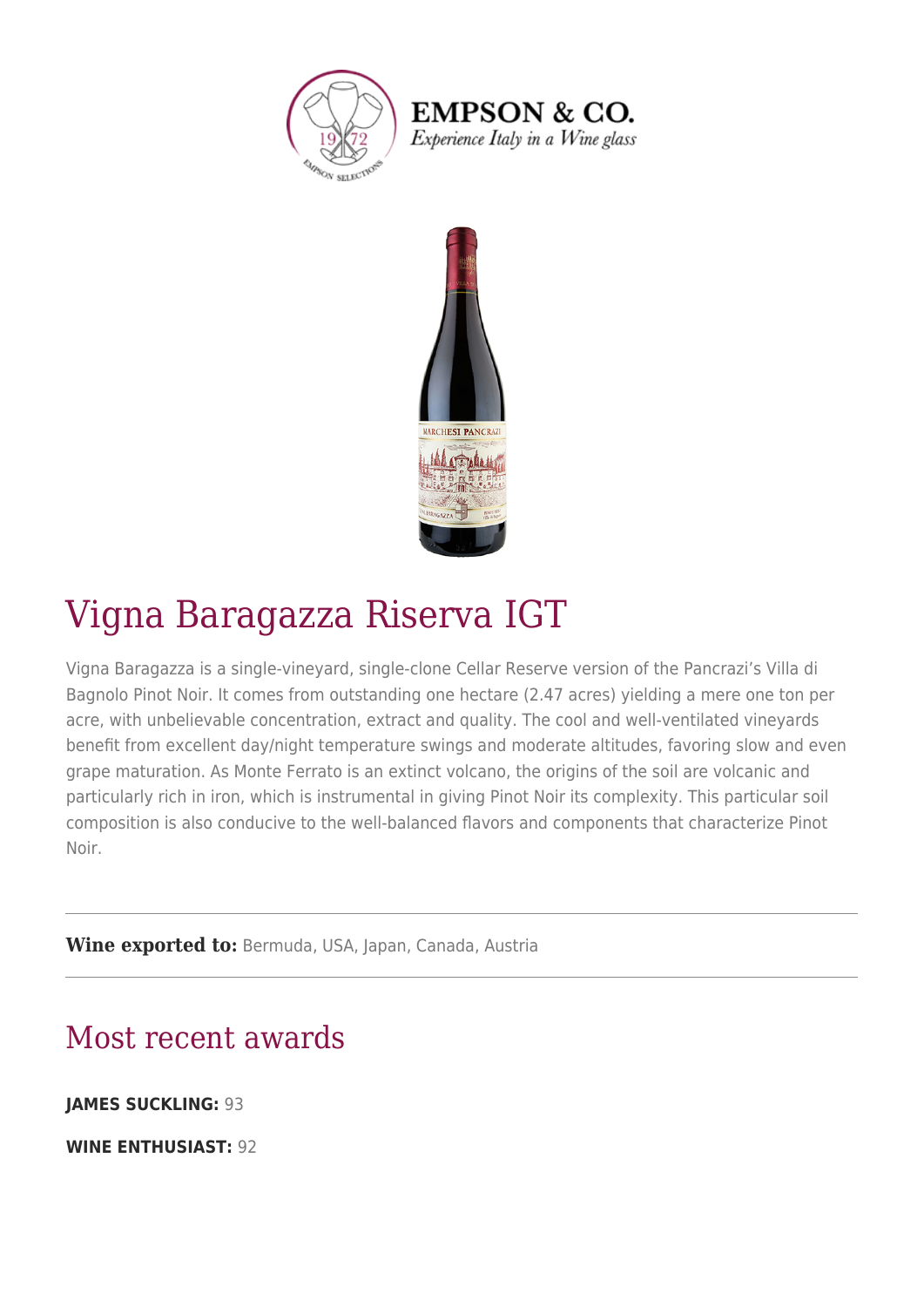

**EMPSON & CO.** Experience Italy in a Wine glass



## Vigna Baragazza Riserva IGT

Vigna Baragazza is a single-vineyard, single-clone Cellar Reserve version of the Pancrazi's Villa di Bagnolo Pinot Noir. It comes from outstanding one hectare (2.47 acres) yielding a mere one ton per acre, with unbelievable concentration, extract and quality. The cool and well-ventilated vineyards benefit from excellent day/night temperature swings and moderate altitudes, favoring slow and even grape maturation. As Monte Ferrato is an extinct volcano, the origins of the soil are volcanic and particularly rich in iron, which is instrumental in giving Pinot Noir its complexity. This particular soil composition is also conducive to the well-balanced flavors and components that characterize Pinot Noir.

**Wine exported to:** Bermuda, USA, Japan, Canada, Austria

## Most recent awards

**JAMES SUCKLING:** 93

**WINE ENTHUSIAST:** 92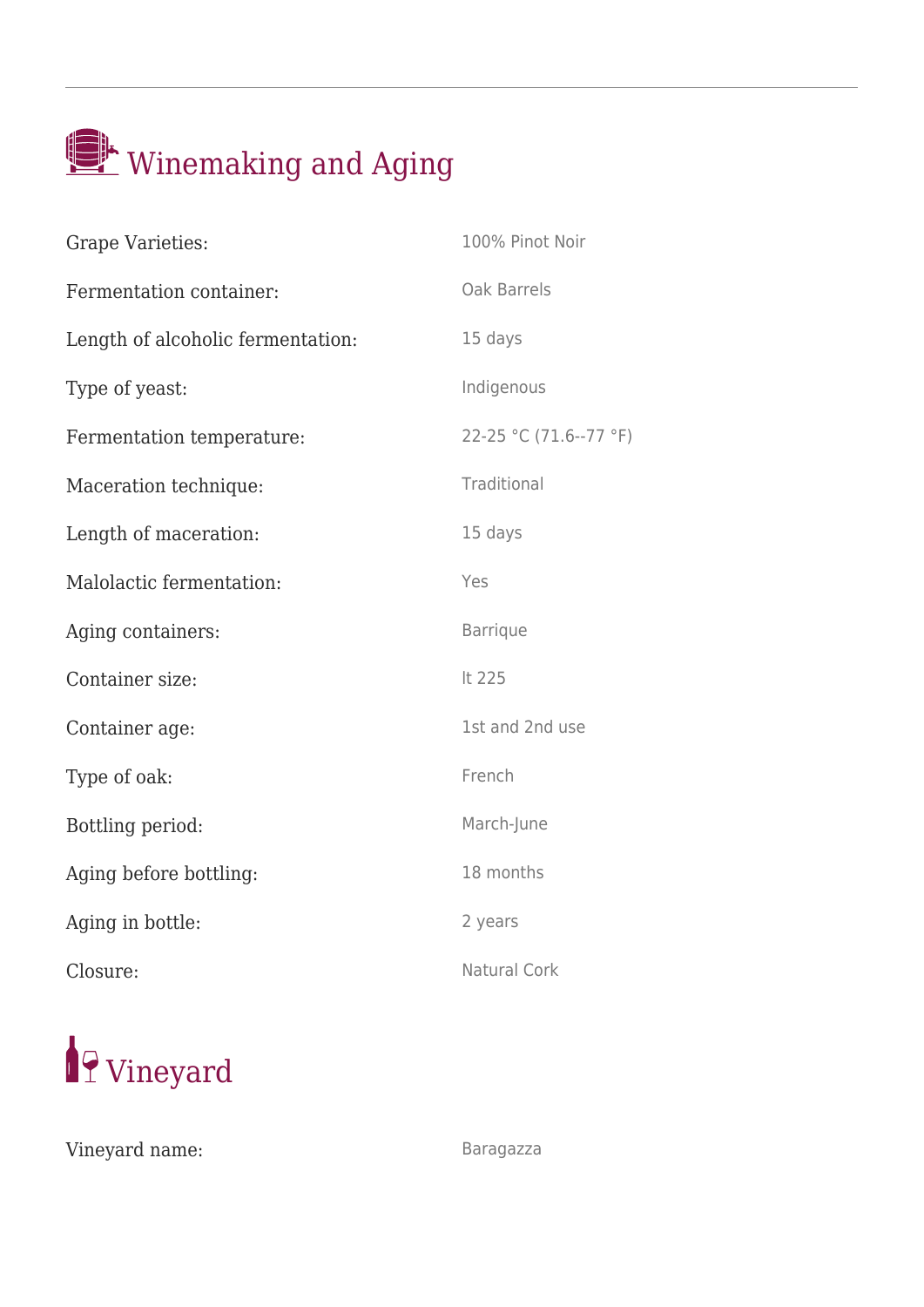## Winemaking and Aging

| <b>Grape Varieties:</b>           | 100% Pinot Noir        |
|-----------------------------------|------------------------|
| Fermentation container:           | Oak Barrels            |
| Length of alcoholic fermentation: | 15 days                |
| Type of yeast:                    | Indigenous             |
| Fermentation temperature:         | 22-25 °C (71.6--77 °F) |
| Maceration technique:             | Traditional            |
| Length of maceration:             | 15 days                |
| Malolactic fermentation:          | Yes                    |
| Aging containers:                 | <b>Barrique</b>        |
| Container size:                   | It 225                 |
| Container age:                    | 1st and 2nd use        |
| Type of oak:                      | French                 |
| Bottling period:                  | March-June             |
| Aging before bottling:            | 18 months              |
| Aging in bottle:                  | 2 years                |
| Closure:                          | Natural Cork           |



Vineyard name: Baragazza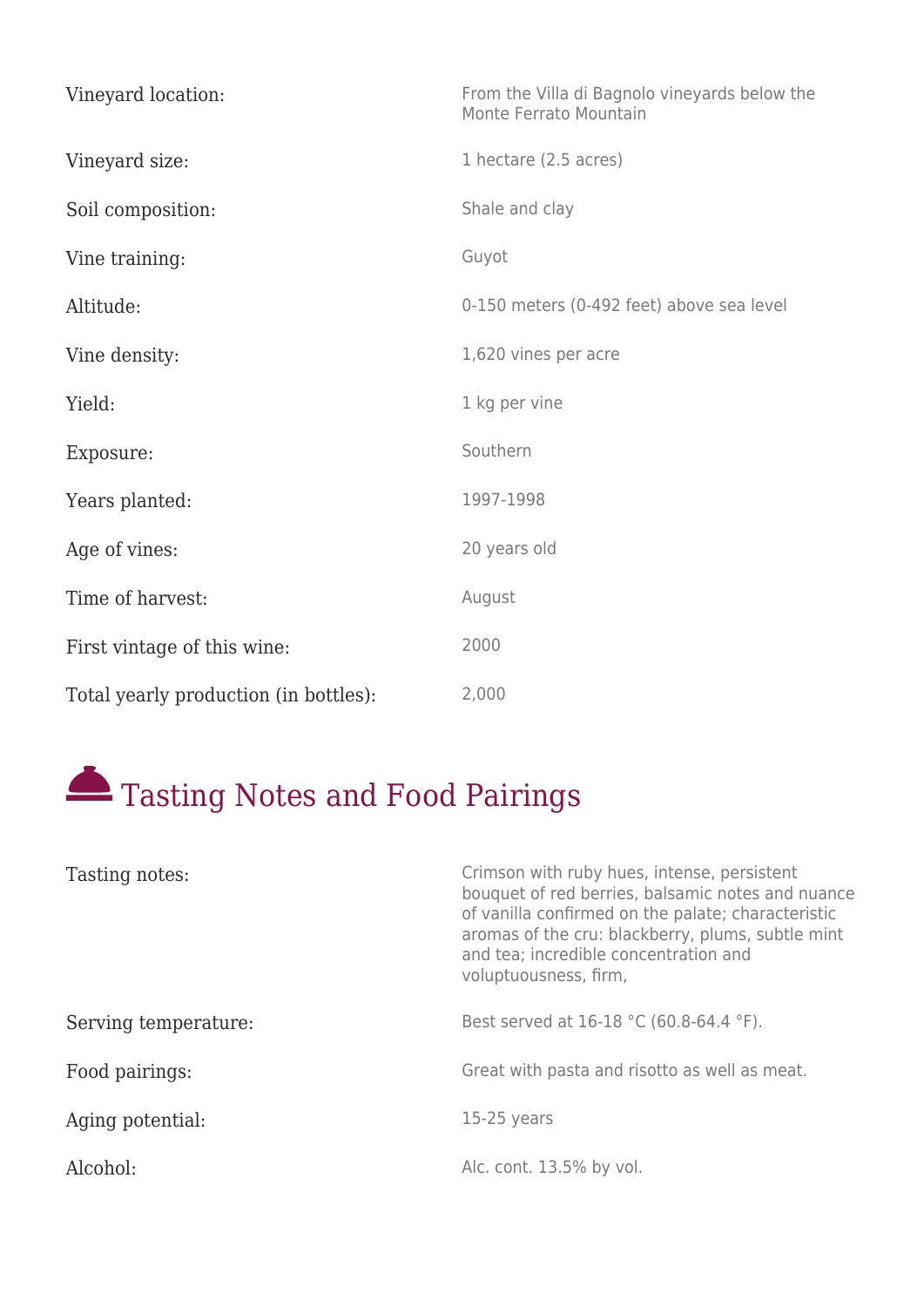| Vineyard location:                    | From the Villa di Bagnolo vineyards below the<br>Monte Ferrato Mountain |
|---------------------------------------|-------------------------------------------------------------------------|
| Vineyard size:                        | 1 hectare (2.5 acres)                                                   |
| Soil composition:                     | Shale and clay                                                          |
| Vine training:                        | Guyot                                                                   |
| Altitude:                             | 0-150 meters (0-492 feet) above sea level                               |
| Vine density:                         | 1,620 vines per acre                                                    |
| Yield:                                | 1 kg per vine                                                           |
| Exposure:                             | Southern                                                                |
| Years planted:                        | 1997-1998                                                               |
| Age of vines:                         | 20 years old                                                            |
| Time of harvest:                      | August                                                                  |
| First vintage of this wine:           | 2000                                                                    |
| Total yearly production (in bottles): | 2,000                                                                   |

## Tasting Notes and Food Pairings

| Tasting notes:       | Crimson with ruby hues, intense, persistent<br>bouquet of red berries, balsamic notes and nuance<br>of vanilla confirmed on the palate; characteristic<br>aromas of the cru: blackberry, plums, subtle mint<br>and tea; incredible concentration and<br>voluptuousness, firm, |
|----------------------|-------------------------------------------------------------------------------------------------------------------------------------------------------------------------------------------------------------------------------------------------------------------------------|
| Serving temperature: | Best served at 16-18 °C (60.8-64.4 °F).                                                                                                                                                                                                                                       |
| Food pairings:       | Great with pasta and risotto as well as meat.                                                                                                                                                                                                                                 |
| Aging potential:     | $15-25$ years                                                                                                                                                                                                                                                                 |
| Alcohol:             | Alc. cont. 13.5% by vol.                                                                                                                                                                                                                                                      |